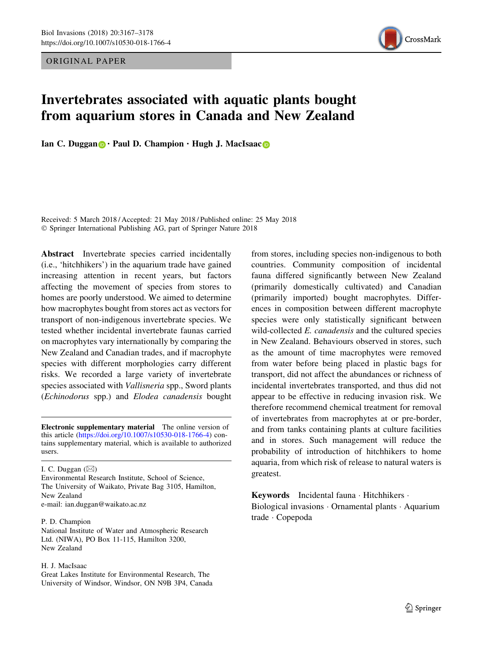ORIGINAL PAPER



# Invertebrates associated with aquatic plants bought from aquarium stores in Canada and New Zealand

Ian C. Duggan  $\bigcirc \cdot$  Paul D. Champion  $\cdot$  Hugh J. MacIsaac  $\bigcirc$ 

Received: 5 March 2018 / Accepted: 21 May 2018 / Published online: 25 May 2018 © Springer International Publishing AG, part of Springer Nature 2018

Abstract Invertebrate species carried incidentally (i.e., 'hitchhikers') in the aquarium trade have gained increasing attention in recent years, but factors affecting the movement of species from stores to homes are poorly understood. We aimed to determine how macrophytes bought from stores act as vectors for transport of non-indigenous invertebrate species. We tested whether incidental invertebrate faunas carried on macrophytes vary internationally by comparing the New Zealand and Canadian trades, and if macrophyte species with different morphologies carry different risks. We recorded a large variety of invertebrate species associated with Vallisneria spp., Sword plants (Echinodorus spp.) and Elodea canadensis bought

Electronic supplementary material The online version of this article [\(https://doi.org/10.1007/s10530-018-1766-4](https://doi.org/10.1007/s10530-018-1766-4)) contains supplementary material, which is available to authorized users.

I. C. Duggan  $(\boxtimes)$ Environmental Research Institute, School of Science, The University of Waikato, Private Bag 3105, Hamilton, New Zealand e-mail: ian.duggan@waikato.ac.nz

#### P. D. Champion

National Institute of Water and Atmospheric Research Ltd. (NIWA), PO Box 11-115, Hamilton 3200, New Zealand

#### H. J. MacIsaac

Great Lakes Institute for Environmental Research, The University of Windsor, Windsor, ON N9B 3P4, Canada from stores, including species non-indigenous to both countries. Community composition of incidental fauna differed significantly between New Zealand (primarily domestically cultivated) and Canadian (primarily imported) bought macrophytes. Differences in composition between different macrophyte species were only statistically significant between wild-collected *E. canadensis* and the cultured species in New Zealand. Behaviours observed in stores, such as the amount of time macrophytes were removed from water before being placed in plastic bags for transport, did not affect the abundances or richness of incidental invertebrates transported, and thus did not appear to be effective in reducing invasion risk. We therefore recommend chemical treatment for removal of invertebrates from macrophytes at or pre-border, and from tanks containing plants at culture facilities and in stores. Such management will reduce the probability of introduction of hitchhikers to home aquaria, from which risk of release to natural waters is greatest.

Keywords Incidental fauna · Hitchhikers ·

Biological invasions - Ornamental plants - Aquarium trade - Copepoda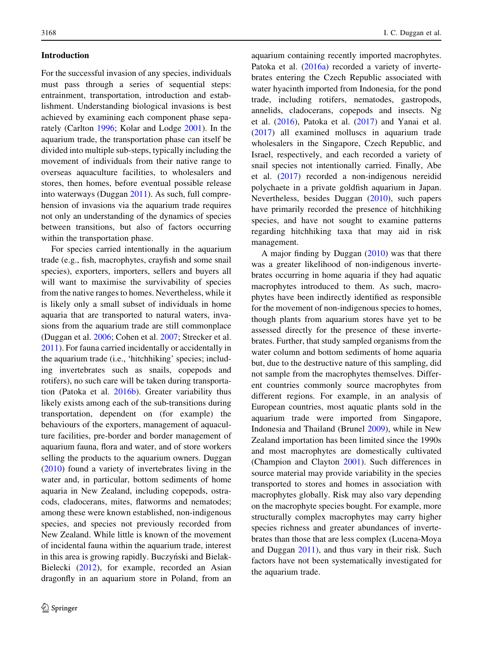## Introduction

For the successful invasion of any species, individuals must pass through a series of sequential steps: entrainment, transportation, introduction and establishment. Understanding biological invasions is best achieved by examining each component phase separately (Carlton [1996;](#page-10-0) Kolar and Lodge [2001\)](#page-10-0). In the aquarium trade, the transportation phase can itself be divided into multiple sub-steps, typically including the movement of individuals from their native range to overseas aquaculture facilities, to wholesalers and stores, then homes, before eventual possible release into waterways (Duggan [2011](#page-10-0)). As such, full comprehension of invasions via the aquarium trade requires not only an understanding of the dynamics of species between transitions, but also of factors occurring within the transportation phase.

For species carried intentionally in the aquarium trade (e.g., fish, macrophytes, crayfish and some snail species), exporters, importers, sellers and buyers all will want to maximise the survivability of species from the native ranges to homes. Nevertheless, while it is likely only a small subset of individuals in home aquaria that are transported to natural waters, invasions from the aquarium trade are still commonplace (Duggan et al. [2006](#page-10-0); Cohen et al. [2007;](#page-10-0) Strecker et al. [2011\)](#page-11-0). For fauna carried incidentally or accidentally in the aquarium trade (i.e., 'hitchhiking' species; including invertebrates such as snails, copepods and rotifers), no such care will be taken during transportation (Patoka et al. [2016b](#page-11-0)). Greater variability thus likely exists among each of the sub-transitions during transportation, dependent on (for example) the behaviours of the exporters, management of aquaculture facilities, pre-border and border management of aquarium fauna, flora and water, and of store workers selling the products to the aquarium owners. Duggan [\(2010](#page-10-0)) found a variety of invertebrates living in the water and, in particular, bottom sediments of home aquaria in New Zealand, including copepods, ostracods, cladocerans, mites, flatworms and nematodes; among these were known established, non-indigenous species, and species not previously recorded from New Zealand. While little is known of the movement of incidental fauna within the aquarium trade, interest in this area is growing rapidly. Buczyński and Bielak-Bielecki ([2012\)](#page-10-0), for example, recorded an Asian dragonfly in an aquarium store in Poland, from an

aquarium containing recently imported macrophytes. Patoka et al. ([2016a](#page-11-0)) recorded a variety of invertebrates entering the Czech Republic associated with water hyacinth imported from Indonesia, for the pond trade, including rotifers, nematodes, gastropods, annelids, cladocerans, copepods and insects. Ng et al. ([2016\)](#page-10-0), Patoka et al. [\(2017](#page-11-0)) and Yanai et al. [\(2017](#page-11-0)) all examined molluscs in aquarium trade wholesalers in the Singapore, Czech Republic, and Israel, respectively, and each recorded a variety of snail species not intentionally carried. Finally, Abe et al. ([2017\)](#page-10-0) recorded a non-indigenous nereidid polychaete in a private goldfish aquarium in Japan. Nevertheless, besides Duggan [\(2010](#page-10-0)), such papers have primarily recorded the presence of hitchhiking species, and have not sought to examine patterns regarding hitchhiking taxa that may aid in risk management.

A major finding by Duggan [\(2010](#page-10-0)) was that there was a greater likelihood of non-indigenous invertebrates occurring in home aquaria if they had aquatic macrophytes introduced to them. As such, macrophytes have been indirectly identified as responsible for the movement of non-indigenous species to homes, though plants from aquarium stores have yet to be assessed directly for the presence of these invertebrates. Further, that study sampled organisms from the water column and bottom sediments of home aquaria but, due to the destructive nature of this sampling, did not sample from the macrophytes themselves. Different countries commonly source macrophytes from different regions. For example, in an analysis of European countries, most aquatic plants sold in the aquarium trade were imported from Singapore, Indonesia and Thailand (Brunel [2009\)](#page-10-0), while in New Zealand importation has been limited since the 1990s and most macrophytes are domestically cultivated (Champion and Clayton [2001](#page-10-0)). Such differences in source material may provide variability in the species transported to stores and homes in association with macrophytes globally. Risk may also vary depending on the macrophyte species bought. For example, more structurally complex macrophytes may carry higher species richness and greater abundances of invertebrates than those that are less complex (Lucena-Moya and Duggan [2011\)](#page-10-0), and thus vary in their risk. Such factors have not been systematically investigated for the aquarium trade.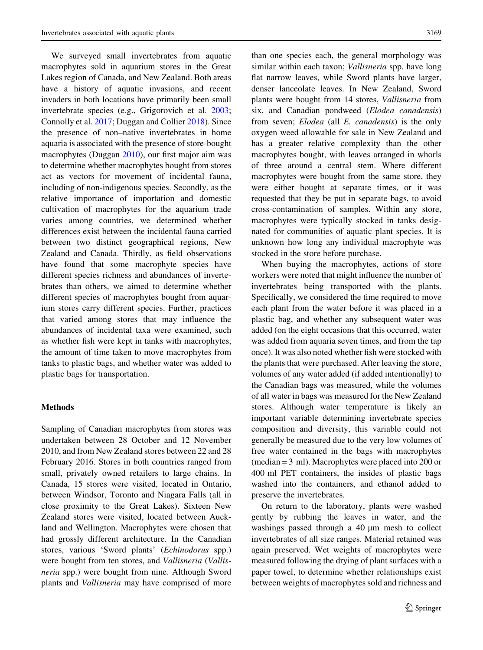We surveyed small invertebrates from aquatic macrophytes sold in aquarium stores in the Great Lakes region of Canada, and New Zealand. Both areas have a history of aquatic invasions, and recent invaders in both locations have primarily been small invertebrate species (e.g., Grigorovich et al. [2003](#page-10-0); Connolly et al. [2017](#page-10-0); Duggan and Collier [2018](#page-10-0)). Since the presence of non–native invertebrates in home aquaria is associated with the presence of store-bought macrophytes (Duggan [2010\)](#page-10-0), our first major aim was to determine whether macrophytes bought from stores act as vectors for movement of incidental fauna, including of non-indigenous species. Secondly, as the relative importance of importation and domestic cultivation of macrophytes for the aquarium trade varies among countries, we determined whether differences exist between the incidental fauna carried between two distinct geographical regions, New Zealand and Canada. Thirdly, as field observations have found that some macrophyte species have different species richness and abundances of invertebrates than others, we aimed to determine whether different species of macrophytes bought from aquarium stores carry different species. Further, practices that varied among stores that may influence the abundances of incidental taxa were examined, such as whether fish were kept in tanks with macrophytes, the amount of time taken to move macrophytes from tanks to plastic bags, and whether water was added to plastic bags for transportation.

#### Methods

Sampling of Canadian macrophytes from stores was undertaken between 28 October and 12 November 2010, and from New Zealand stores between 22 and 28 February 2016. Stores in both countries ranged from small, privately owned retailers to large chains. In Canada, 15 stores were visited, located in Ontario, between Windsor, Toronto and Niagara Falls (all in close proximity to the Great Lakes). Sixteen New Zealand stores were visited, located between Auckland and Wellington. Macrophytes were chosen that had grossly different architecture. In the Canadian stores, various 'Sword plants' (Echinodorus spp.) were bought from ten stores, and Vallisneria (Vallisneria spp.) were bought from nine. Although Sword plants and Vallisneria may have comprised of more than one species each, the general morphology was similar within each taxon; *Vallisneria* spp. have long flat narrow leaves, while Sword plants have larger, denser lanceolate leaves. In New Zealand, Sword plants were bought from 14 stores, Vallisneria from six, and Canadian pondweed (Elodea canadensis) from seven; Elodea (all E. canadensis) is the only oxygen weed allowable for sale in New Zealand and has a greater relative complexity than the other macrophytes bought, with leaves arranged in whorls of three around a central stem. Where different macrophytes were bought from the same store, they were either bought at separate times, or it was requested that they be put in separate bags, to avoid cross-contamination of samples. Within any store, macrophytes were typically stocked in tanks designated for communities of aquatic plant species. It is unknown how long any individual macrophyte was stocked in the store before purchase.

When buying the macrophytes, actions of store workers were noted that might influence the number of invertebrates being transported with the plants. Specifically, we considered the time required to move each plant from the water before it was placed in a plastic bag, and whether any subsequent water was added (on the eight occasions that this occurred, water was added from aquaria seven times, and from the tap once). It was also noted whether fish were stocked with the plants that were purchased. After leaving the store, volumes of any water added (if added intentionally) to the Canadian bags was measured, while the volumes of all water in bags was measured for the New Zealand stores. Although water temperature is likely an important variable determining invertebrate species composition and diversity, this variable could not generally be measured due to the very low volumes of free water contained in the bags with macrophytes (median = 3 ml). Macrophytes were placed into 200 or 400 ml PET containers, the insides of plastic bags washed into the containers, and ethanol added to preserve the invertebrates.

On return to the laboratory, plants were washed gently by rubbing the leaves in water, and the washings passed through a  $40 \mu m$  mesh to collect invertebrates of all size ranges. Material retained was again preserved. Wet weights of macrophytes were measured following the drying of plant surfaces with a paper towel, to determine whether relationships exist between weights of macrophytes sold and richness and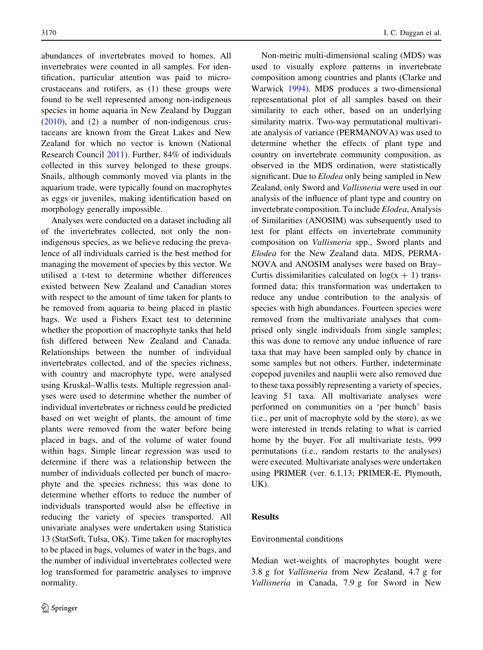abundances of invertebrates moved to homes. All invertebrates were counted in all samples. For identification, particular attention was paid to microcrustaceans and rotifers, as (1) these groups were found to be well represented among non-indigenous species in home aquaria in New Zealand by Duggan [\(2010](#page-10-0)), and (2) a number of non-indigenous crustaceans are known from the Great Lakes and New Zealand for which no vector is known (National Research Council [2011](#page-10-0)). Further, 84% of individuals collected in this survey belonged to these groups. Snails, although commonly moved via plants in the aquarium trade, were typically found on macrophytes as eggs or juveniles, making identification based on morphology generally impossible.

Analyses were conducted on a dataset including all of the invertebrates collected, not only the nonindigenous species, as we believe reducing the prevalence of all individuals carried is the best method for managing the movement of species by this vector. We utilised a t-test to determine whether differences existed between New Zealand and Canadian stores with respect to the amount of time taken for plants to be removed from aquaria to being placed in plastic bags. We used a Fishers Exact test to determine whether the proportion of macrophyte tanks that held fish differed between New Zealand and Canada. Relationships between the number of individual invertebrates collected, and of the species richness, with country and macrophyte type, were analysed using Kruskal–Wallis tests. Multiple regression analyses were used to determine whether the number of individual invertebrates or richness could be predicted based on wet weight of plants, the amount of time plants were removed from the water before being placed in bags, and of the volume of water found within bags. Simple linear regression was used to determine if there was a relationship between the number of individuals collected per bunch of macrophyte and the species richness; this was done to determine whether efforts to reduce the number of individuals transported would also be effective in reducing the variety of species transported. All univariate analyses were undertaken using Statistica 13 (StatSoft, Tulsa, OK). Time taken for macrophytes to be placed in bags, volumes of water in the bags, and the number of individual invertebrates collected were log transformed for parametric analyses to improve normality.

Non-metric multi-dimensional scaling (MDS) was used to visually explore patterns in invertebrate composition among countries and plants (Clarke and Warwick [1994](#page-10-0)). MDS produces a two-dimensional representational plot of all samples based on their similarity to each other, based on an underlying similarity matrix. Two-way permutational multivariate analysis of variance (PERMANOVA) was used to determine whether the effects of plant type and country on invertebrate community composition, as observed in the MDS ordination, were statistically significant. Due to *Elodea* only being sampled in New Zealand, only Sword and Vallisneria were used in our analysis of the influence of plant type and country on invertebrate composition. To include Elodea, Analysis of Similarities (ANOSIM) was subsequently used to test for plant effects on invertebrate community composition on Vallisneria spp., Sword plants and Elodea for the New Zealand data. MDS, PERMA-NOVA and ANOSIM analyses were based on Bray– Curtis dissimilarities calculated on  $log(x + 1)$  transformed data; this transformation was undertaken to reduce any undue contribution to the analysis of species with high abundances. Fourteen species were removed from the multivariate analyses that comprised only single individuals from single samples; this was done to remove any undue influence of rare taxa that may have been sampled only by chance in some samples but not others. Further, indeterminate copepod juveniles and nauplii were also removed due to these taxa possibly representing a variety of species, leaving 51 taxa. All multivariate analyses were performed on communities on a 'per bunch' basis (i.e., per unit of macrophyte sold by the store), as we were interested in trends relating to what is carried home by the buyer. For all multivariate tests, 999 permutations (i.e., random restarts to the analyses) were executed. Multivariate analyses were undertaken using PRIMER (ver. 6.1.13; PRIMER-E, Plymouth, UK).

## **Results**

#### Environmental conditions

Median wet-weights of macrophytes bought were 3.8 g for Vallisneria from New Zealand, 4.7 g for Vallisneria in Canada, 7.9 g for Sword in New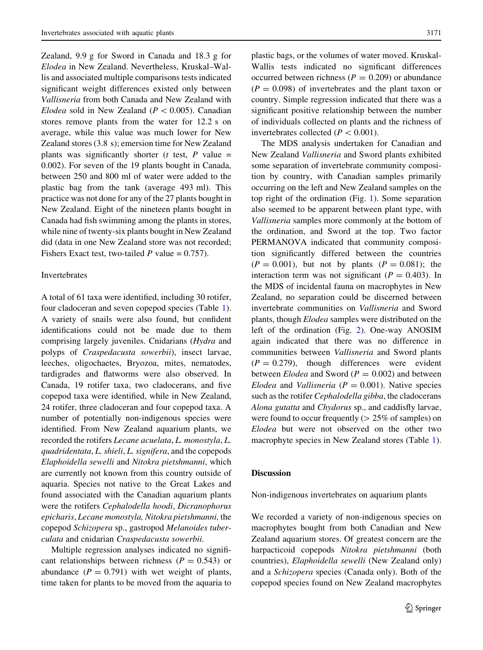Zealand, 9.9 g for Sword in Canada and 18.3 g for Elodea in New Zealand. Nevertheless, Kruskal–Wallis and associated multiple comparisons tests indicated significant weight differences existed only between Vallisneria from both Canada and New Zealand with Elodea sold in New Zealand ( $P < 0.005$ ). Canadian stores remove plants from the water for 12.2 s on average, while this value was much lower for New Zealand stores (3.8 s); emersion time for New Zealand plants was significantly shorter ( $t$  test,  $P$  value = 0.002). For seven of the 19 plants bought in Canada, between 250 and 800 ml of water were added to the plastic bag from the tank (average 493 ml). This practice was not done for any of the 27 plants bought in New Zealand. Eight of the nineteen plants bought in Canada had fish swimming among the plants in stores, while nine of twenty-six plants bought in New Zealand did (data in one New Zealand store was not recorded; Fishers Exact test, two-tailed  $P$  value = 0.757).

## Invertebrates

A total of 61 taxa were identified, including 30 rotifer, four cladoceran and seven copepod species (Table [1](#page-5-0)). A variety of snails were also found, but confident identifications could not be made due to them comprising largely juveniles. Cnidarians (Hydra and polyps of Craspedacusta sowerbii), insect larvae, leeches, oligochaetes, Bryozoa, mites, nematodes, tardigrades and flatworms were also observed. In Canada, 19 rotifer taxa, two cladocerans, and five copepod taxa were identified, while in New Zealand, 24 rotifer, three cladoceran and four copepod taxa. A number of potentially non-indigenous species were identified. From New Zealand aquarium plants, we recorded the rotifers Lecane acuelata, L. monostyla, L. quadridentata, L. shieli, L. signifera, and the copepods Elaphoidella sewelli and Nitokra pietshmanni, which are currently not known from this country outside of aquaria. Species not native to the Great Lakes and found associated with the Canadian aquarium plants were the rotifers Cephalodella hoodi, Dicranophorus epicharis, Lecane monostyla, Nitokra pietshmanni, the copepod Schizopera sp., gastropod Melanoides tuberculata and cnidarian Craspedacusta sowerbii.

Multiple regression analyses indicated no significant relationships between richness ( $P = 0.543$ ) or abundance  $(P = 0.791)$  with wet weight of plants, time taken for plants to be moved from the aquaria to plastic bags, or the volumes of water moved. Kruskal-Wallis tests indicated no significant differences occurred between richness ( $P = 0.209$ ) or abundance  $(P = 0.098)$  of invertebrates and the plant taxon or country. Simple regression indicated that there was a significant positive relationship between the number of individuals collected on plants and the richness of invertebrates collected ( $P < 0.001$ ).

The MDS analysis undertaken for Canadian and New Zealand Vallisneria and Sword plants exhibited some separation of invertebrate community composition by country, with Canadian samples primarily occurring on the left and New Zealand samples on the top right of the ordination (Fig. [1](#page-7-0)). Some separation also seemed to be apparent between plant type, with Vallisneria samples more commonly at the bottom of the ordination, and Sword at the top. Two factor PERMANOVA indicated that community composition significantly differed between the countries  $(P = 0.001)$ , but not by plants  $(P = 0.081)$ ; the interaction term was not significant ( $P = 0.403$ ). In the MDS of incidental fauna on macrophytes in New Zealand, no separation could be discerned between invertebrate communities on Vallisneria and Sword plants, though Elodea samples were distributed on the left of the ordination (Fig. [2\)](#page-7-0). One-way ANOSIM again indicated that there was no difference in communities between Vallisneria and Sword plants  $(P = 0.279)$ , though differences were evident between *Elodea* and Sword ( $P = 0.002$ ) and between Elodea and Vallisneria ( $P = 0.001$ ). Native species such as the rotifer Cephalodella gibba, the cladocerans Alona gutatta and Chydorus sp., and caddisfly larvae, were found to occur frequently ( $> 25\%$  of samples) on Elodea but were not observed on the other two macrophyte species in New Zealand stores (Table [1](#page-5-0)).

## **Discussion**

Non-indigenous invertebrates on aquarium plants

We recorded a variety of non-indigenous species on macrophytes bought from both Canadian and New Zealand aquarium stores. Of greatest concern are the harpacticoid copepods Nitokra pietshmanni (both countries), Elaphoidella sewelli (New Zealand only) and a Schizopera species (Canada only). Both of the copepod species found on New Zealand macrophytes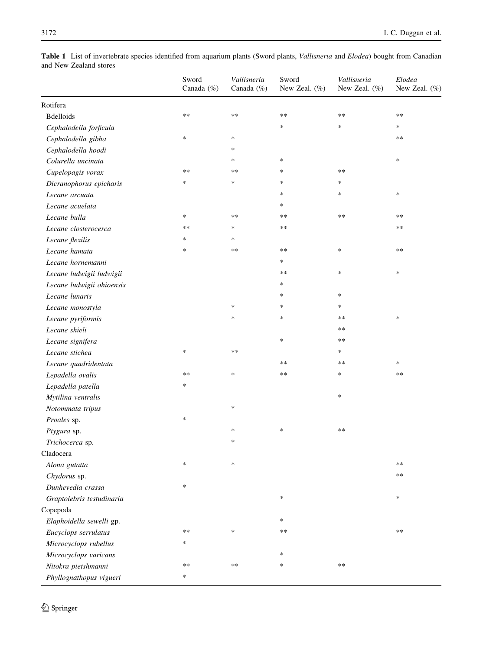<span id="page-5-0"></span>

| Table 1 List of invertebrate species identified from aquarium plants (Sword plants, Vallisneria and Elodea) bought from Canadian |  |  |  |  |
|----------------------------------------------------------------------------------------------------------------------------------|--|--|--|--|
| and New Zealand stores                                                                                                           |  |  |  |  |

|                           | Sword<br>Canada (%) | Vallisneria<br>Canada $(\% )$ | Sword<br>New Zeal. (%) | Vallisneria<br>New Zeal. $(\%)$ | Elodea<br>New Zeal. (%) |
|---------------------------|---------------------|-------------------------------|------------------------|---------------------------------|-------------------------|
| Rotifera                  |                     |                               |                        |                                 |                         |
| <b>Bdelloids</b>          | **                  | $**$                          | $**$                   | $**$                            | **                      |
| Cephalodella forficula    |                     |                               | *                      | $\ast$                          | *                       |
| Cephalodella gibba        | $\ast$              | $\ast$                        |                        |                                 | $***$                   |
| Cephalodella hoodi        |                     | *                             |                        |                                 |                         |
| Colurella uncinata        |                     | $\ast$                        | $\ast$                 |                                 | $\ast$                  |
| Cupelopagis vorax         | $**$                | $**$                          | *                      | $**$                            |                         |
| Dicranophorus epicharis   | *                   | $\ast$                        | *                      | $\ast$                          |                         |
| Lecane arcuata            |                     |                               | *                      | $\ast$                          | $\ast$                  |
| Lecane acuelata           |                     |                               | *                      |                                 |                         |
| Lecane bulla              | $\ast$              | $**$                          | $***$                  | $\ast\ast$                      | $***$                   |
| Lecane closterocerca      | $**$                | $\ast$                        | **                     |                                 | $***$                   |
| Lecane flexilis           | ∗                   | $\ast$                        |                        |                                 |                         |
| Lecane hamata             | *                   | $**$                          | **                     | $\ast$                          | $***$                   |
| Lecane hornemanni         |                     |                               | $\ast$                 |                                 |                         |
| Lecane ludwigii ludwigii  |                     |                               | **                     | $\ast$                          | *                       |
| Lecane ludwigii ohioensis |                     |                               | $\ast$                 |                                 |                         |
| Lecane lunaris            |                     |                               | *                      | $\ast$                          |                         |
| Lecane monostyla          |                     | $\ast$                        | *                      | $\ast$                          |                         |
| Lecane pyriformis         |                     | $\ast$                        | *                      | $* *$                           | $\ast$                  |
| Lecane shieli             |                     |                               |                        | $\ast\ast$                      |                         |
| Lecane signifera          |                     |                               | *                      | $***$                           |                         |
| Lecane stichea            | $\ast$              | $\ast\ast$                    |                        | $\ast$                          |                         |
| Lecane quadridentata      |                     |                               | **                     | $\ast\ast$                      | *                       |
| Lepadella ovalis          | $**$                | $\ast$                        | $**$                   | $\ast$                          | $\ast\ast$              |
| Lepadella patella         | ∗                   |                               |                        |                                 |                         |
| Mytilina ventralis        |                     |                               |                        | $\ast$                          |                         |
| Notommata tripus          |                     | $\ast$                        |                        |                                 |                         |
| Proales sp.               | $\ast$              |                               |                        |                                 |                         |
| Ptygura sp.               |                     | ∗                             | $\ast$                 | $***$                           |                         |
| Trichocerca sp.           |                     | $\ast$                        |                        |                                 |                         |
| Cladocera                 |                     |                               |                        |                                 |                         |
| Alona gutatta             | ∗                   | $\ast$                        |                        |                                 | **                      |
| Chydorus sp.              |                     |                               |                        |                                 | **                      |
| Dunhevedia crassa         | $\ast$              |                               |                        |                                 |                         |
| Graptolebris testudinaria |                     |                               | $\ast$                 |                                 | $\ast$                  |
| Copepoda                  |                     |                               |                        |                                 |                         |
| Elaphoidella sewelli gp.  |                     |                               | *                      |                                 |                         |
| Eucyclops serrulatus      | $**$                | $\ast$                        | **                     |                                 | $\ast\ast$              |
| Microcyclops rubellus     | *                   |                               |                        |                                 |                         |
| Microcyclops varicans     |                     |                               | $\ast$                 |                                 |                         |
| Nitokra pietshmanni       | **                  | $***$                         | $\ast$                 | $***$                           |                         |
| Phyllognathopus vigueri   | *                   |                               |                        |                                 |                         |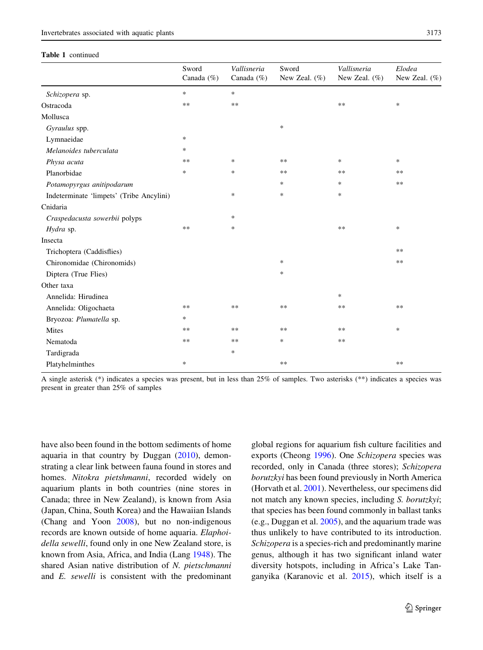## Table 1 continued

|                                          | Sword<br>Canada (%) | Vallisneria<br>Canada $(\% )$ | Sword<br>New Zeal. $(\%)$ | Vallisneria<br>New Zeal. (%) | Elodea<br>New Zeal. $(\%)$ |
|------------------------------------------|---------------------|-------------------------------|---------------------------|------------------------------|----------------------------|
| Schizopera sp.                           | $\ast$              | $\ast$                        |                           |                              |                            |
| Ostracoda                                | **                  | $**$                          |                           | **                           | *                          |
| Mollusca                                 |                     |                               |                           |                              |                            |
| Gyraulus spp.                            |                     |                               | $\ast$                    |                              |                            |
| Lymnaeidae                               | $\ast$              |                               |                           |                              |                            |
| Melanoides tuberculata                   | *                   |                               |                           |                              |                            |
| Physa acuta                              | $***$               | $\ast$                        | $**$                      | *                            | *                          |
| Planorbidae                              | $\ast$              | $\ast$                        | $***$                     | **                           | **                         |
| Potamopyrgus anitipodarum                |                     |                               | *                         | *                            | **                         |
| Indeterminate 'limpets' (Tribe Ancylini) |                     | *                             | $\ast$                    | $\ast$                       |                            |
| Cnidaria                                 |                     |                               |                           |                              |                            |
| Craspedacusta sowerbii polyps            |                     | *                             |                           |                              |                            |
| Hydra sp.                                | **                  | *                             |                           | **                           | *                          |
| Insecta                                  |                     |                               |                           |                              |                            |
| Trichoptera (Caddisflies)                |                     |                               |                           |                              | $**$                       |
| Chironomidae (Chironomids)               |                     |                               | $\ast$                    |                              | $**$                       |
| Diptera (True Flies)                     |                     |                               | $\ast$                    |                              |                            |
| Other taxa                               |                     |                               |                           |                              |                            |
| Annelida: Hirudinea                      |                     |                               |                           | $\ast$                       |                            |
| Annelida: Oligochaeta                    | $***$               | $**$                          | $**$                      | $**$                         | $**$                       |
| Bryozoa: Plumatella sp.                  | *                   |                               |                           |                              |                            |
| Mites                                    | **                  | $**$                          | $**$                      | **                           | $\ast$                     |
| Nematoda                                 | $**$                | $**$                          | *                         | **                           |                            |
| Tardigrada                               |                     | $\ast$                        |                           |                              |                            |
| Platyhelminthes                          | $\ast$              |                               | **                        |                              | **                         |

A single asterisk (\*) indicates a species was present, but in less than 25% of samples. Two asterisks (\*\*) indicates a species was present in greater than 25% of samples

have also been found in the bottom sediments of home aquaria in that country by Duggan [\(2010](#page-10-0)), demonstrating a clear link between fauna found in stores and homes. Nitokra pietshmanni, recorded widely on aquarium plants in both countries (nine stores in Canada; three in New Zealand), is known from Asia (Japan, China, South Korea) and the Hawaiian Islands (Chang and Yoon [2008](#page-10-0)), but no non-indigenous records are known outside of home aquaria. Elaphoidella sewelli, found only in one New Zealand store, is known from Asia, Africa, and India (Lang [1948](#page-10-0)). The shared Asian native distribution of N. pietschmanni and E. sewelli is consistent with the predominant global regions for aquarium fish culture facilities and exports (Cheong [1996](#page-10-0)). One Schizopera species was recorded, only in Canada (three stores); Schizopera borutzkyi has been found previously in North America (Horvath et al. [2001](#page-10-0)). Nevertheless, our specimens did not match any known species, including S. borutzkyi; that species has been found commonly in ballast tanks (e.g., Duggan et al. [2005\)](#page-10-0), and the aquarium trade was thus unlikely to have contributed to its introduction. Schizopera is a species-rich and predominantly marine genus, although it has two significant inland water diversity hotspots, including in Africa's Lake Tanganyika (Karanovic et al. [2015\)](#page-10-0), which itself is a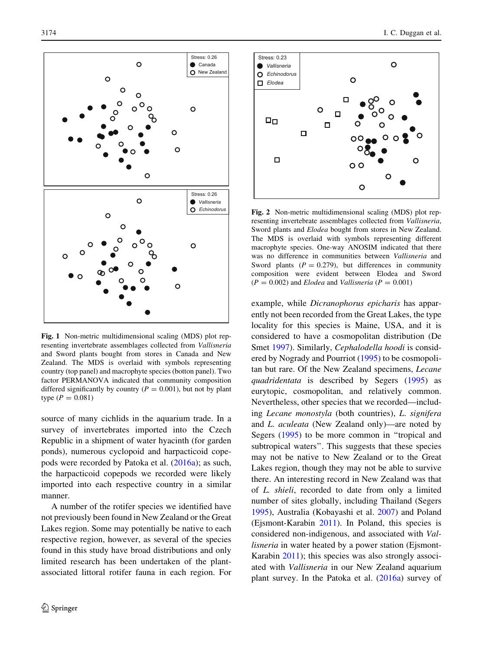<span id="page-7-0"></span>

Fig. 1 Non-metric multidimensional scaling (MDS) plot representing invertebrate assemblages collected from Vallisneria and Sword plants bought from stores in Canada and New Zealand. The MDS is overlaid with symbols representing country (top panel) and macrophyte species (botton panel). Two factor PERMANOVA indicated that community composition differed significantly by country ( $P = 0.001$ ), but not by plant type  $(P = 0.081)$ 

source of many cichlids in the aquarium trade. In a survey of invertebrates imported into the Czech Republic in a shipment of water hyacinth (for garden ponds), numerous cyclopoid and harpacticoid copepods were recorded by Patoka et al. ([2016a](#page-11-0)); as such, the harpacticoid copepods we recorded were likely imported into each respective country in a similar manner.

A number of the rotifer species we identified have not previously been found in New Zealand or the Great Lakes region. Some may potentially be native to each respective region, however, as several of the species found in this study have broad distributions and only limited research has been undertaken of the plantassociated littoral rotifer fauna in each region. For



Fig. 2 Non-metric multidimensional scaling (MDS) plot representing invertebrate assemblages collected from Vallisneria, Sword plants and Elodea bought from stores in New Zealand. The MDS is overlaid with symbols representing different macrophyte species. One-way ANOSIM indicated that there was no difference in communities between Vallisneria and Sword plants  $(P = 0.279)$ , but differences in community composition were evident between Elodea and Sword  $(P = 0.002)$  and *Elodea* and *Vallisneria*  $(P = 0.001)$ 

example, while Dicranophorus epicharis has apparently not been recorded from the Great Lakes, the type locality for this species is Maine, USA, and it is considered to have a cosmopolitan distribution (De Smet [1997](#page-10-0)). Similarly, Cephalodella hoodi is considered by Nogrady and Pourriot [\(1995](#page-11-0)) to be cosmopolitan but rare. Of the New Zealand specimens, Lecane quadridentata is described by Segers ([1995\)](#page-11-0) as eurytopic, cosmopolitan, and relatively common. Nevertheless, other species that we recorded—including Lecane monostyla (both countries), L. signifera and L. aculeata (New Zealand only)—are noted by Segers ([1995\)](#page-11-0) to be more common in "tropical and subtropical waters''. This suggests that these species may not be native to New Zealand or to the Great Lakes region, though they may not be able to survive there. An interesting record in New Zealand was that of L. shieli, recorded to date from only a limited number of sites globally, including Thailand (Segers [1995\)](#page-11-0), Australia (Kobayashi et al. [2007\)](#page-10-0) and Poland (Ejsmont-Karabin [2011\)](#page-10-0). In Poland, this species is considered non-indigenous, and associated with Vallisneria in water heated by a power station (Ejsmont-Karabin [2011](#page-10-0)); this species was also strongly associated with Vallisneria in our New Zealand aquarium plant survey. In the Patoka et al. ([2016a](#page-11-0)) survey of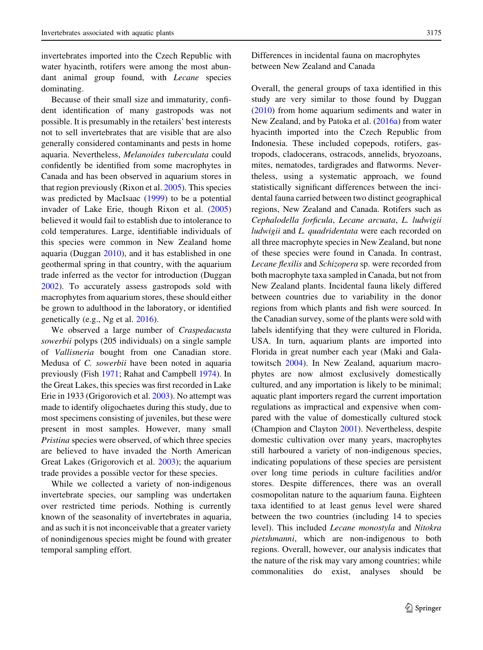invertebrates imported into the Czech Republic with water hyacinth, rotifers were among the most abundant animal group found, with *Lecane* species dominating.

Because of their small size and immaturity, confident identification of many gastropods was not possible. It is presumably in the retailers' best interests not to sell invertebrates that are visible that are also generally considered contaminants and pests in home aquaria. Nevertheless, Melanoides tuberculata could confidently be identified from some macrophytes in Canada and has been observed in aquarium stores in that region previously (Rixon et al. [2005\)](#page-11-0). This species was predicted by MacIsaac ([1999\)](#page-10-0) to be a potential invader of Lake Erie, though Rixon et al. ([2005\)](#page-11-0) believed it would fail to establish due to intolerance to cold temperatures. Large, identifiable individuals of this species were common in New Zealand home aquaria (Duggan [2010](#page-10-0)), and it has established in one geothermal spring in that country, with the aquarium trade inferred as the vector for introduction (Duggan [2002\)](#page-10-0). To accurately assess gastropods sold with macrophytes from aquarium stores, these should either be grown to adulthood in the laboratory, or identified genetically (e.g., Ng et al. [2016](#page-10-0)).

We observed a large number of Craspedacusta sowerbii polyps (205 individuals) on a single sample of Vallisneria bought from one Canadian store. Medusa of C. sowerbii have been noted in aquaria previously (Fish [1971;](#page-10-0) Rahat and Campbell [1974](#page-11-0)). In the Great Lakes, this species was first recorded in Lake Erie in 1933 (Grigorovich et al. [2003\)](#page-10-0). No attempt was made to identify oligochaetes during this study, due to most specimens consisting of juveniles, but these were present in most samples. However, many small Pristina species were observed, of which three species are believed to have invaded the North American Great Lakes (Grigorovich et al. [2003](#page-10-0)); the aquarium trade provides a possible vector for these species.

While we collected a variety of non-indigenous invertebrate species, our sampling was undertaken over restricted time periods. Nothing is currently known of the seasonality of invertebrates in aquaria, and as such it is not inconceivable that a greater variety of nonindigenous species might be found with greater temporal sampling effort.

Differences in incidental fauna on macrophytes between New Zealand and Canada

Overall, the general groups of taxa identified in this study are very similar to those found by Duggan [\(2010](#page-10-0)) from home aquarium sediments and water in New Zealand, and by Patoka et al. [\(2016a\)](#page-11-0) from water hyacinth imported into the Czech Republic from Indonesia. These included copepods, rotifers, gastropods, cladocerans, ostracods, annelids, bryozoans, mites, nematodes, tardigrades and flatworms. Nevertheless, using a systematic approach, we found statistically significant differences between the incidental fauna carried between two distinct geographical regions, New Zealand and Canada. Rotifers such as Cephalodella forficula, Lecane arcuata, L. ludwigii ludwigii and L. quadridentata were each recorded on all three macrophyte species in New Zealand, but none of these species were found in Canada. In contrast, Lecane flexilis and Schizopera sp. were recorded from both macrophyte taxa sampled in Canada, but not from New Zealand plants. Incidental fauna likely differed between countries due to variability in the donor regions from which plants and fish were sourced. In the Canadian survey, some of the plants were sold with labels identifying that they were cultured in Florida, USA. In turn, aquarium plants are imported into Florida in great number each year (Maki and Galatowitsch [2004](#page-10-0)). In New Zealand, aquarium macrophytes are now almost exclusively domestically cultured, and any importation is likely to be minimal; aquatic plant importers regard the current importation regulations as impractical and expensive when compared with the value of domestically cultured stock (Champion and Clayton [2001\)](#page-10-0). Nevertheless, despite domestic cultivation over many years, macrophytes still harboured a variety of non-indigenous species, indicating populations of these species are persistent over long time periods in culture facilities and/or stores. Despite differences, there was an overall cosmopolitan nature to the aquarium fauna. Eighteen taxa identified to at least genus level were shared between the two countries (including 14 to species level). This included Lecane monostyla and Nitokra pietshmanni, which are non-indigenous to both regions. Overall, however, our analysis indicates that the nature of the risk may vary among countries; while commonalities do exist, analyses should be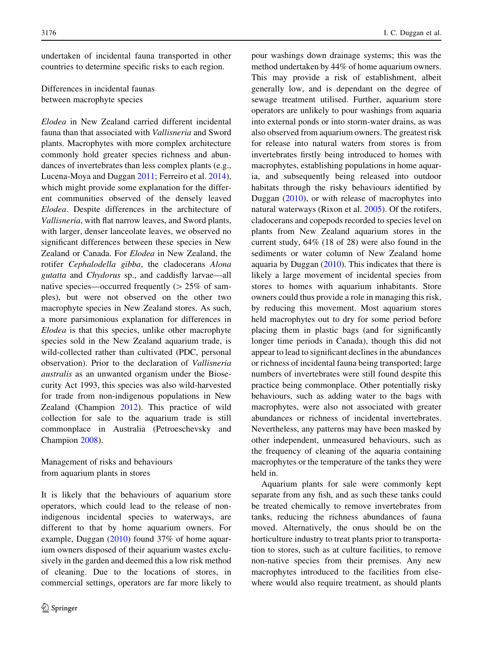undertaken of incidental fauna transported in other countries to determine specific risks to each region.

Differences in incidental faunas between macrophyte species

Elodea in New Zealand carried different incidental fauna than that associated with Vallisneria and Sword plants. Macrophytes with more complex architecture commonly hold greater species richness and abundances of invertebrates than less complex plants (e.g., Lucena-Moya and Duggan [2011;](#page-10-0) Ferreiro et al. [2014](#page-10-0)), which might provide some explanation for the different communities observed of the densely leaved Elodea. Despite differences in the architecture of Vallisneria, with flat narrow leaves, and Sword plants, with larger, denser lanceolate leaves, we observed no significant differences between these species in New Zealand or Canada. For Elodea in New Zealand, the rotifer Cephalodella gibba, the cladocerans Alona gutatta and Chydorus sp., and caddisfly larvae—all native species—occurred frequently  $(> 25\%$  of samples), but were not observed on the other two macrophyte species in New Zealand stores. As such, a more parsimonious explanation for differences in Elodea is that this species, unlike other macrophyte species sold in the New Zealand aquarium trade, is wild-collected rather than cultivated (PDC, personal observation). Prior to the declaration of Vallisneria australis as an unwanted organism under the Biosecurity Act 1993, this species was also wild-harvested for trade from non-indigenous populations in New Zealand (Champion [2012](#page-10-0)). This practice of wild collection for sale to the aquarium trade is still commonplace in Australia (Petroeschevsky and Champion [2008](#page-11-0)).

Management of risks and behaviours from aquarium plants in stores

It is likely that the behaviours of aquarium store operators, which could lead to the release of nonindigenous incidental species to waterways, are different to that by home aquarium owners. For example, Duggan ([2010\)](#page-10-0) found 37% of home aquarium owners disposed of their aquarium wastes exclusively in the garden and deemed this a low risk method of cleaning. Due to the locations of stores, in commercial settings, operators are far more likely to pour washings down drainage systems; this was the method undertaken by 44% of home aquarium owners. This may provide a risk of establishment, albeit generally low, and is dependant on the degree of sewage treatment utilised. Further, aquarium store operators are unlikely to pour washings from aquaria into external ponds or into storm-water drains, as was also observed from aquarium owners. The greatest risk for release into natural waters from stores is from invertebrates firstly being introduced to homes with macrophytes, establishing populations in home aquaria, and subsequently being released into outdoor habitats through the risky behaviours identified by Duggan [\(2010](#page-10-0)), or with release of macrophytes into natural waterways (Rixon et al. [2005\)](#page-11-0). Of the rotifers, cladocerans and copepods recorded to species level on plants from New Zealand aquarium stores in the current study, 64% (18 of 28) were also found in the sediments or water column of New Zealand home aquaria by Duggan ([2010\)](#page-10-0). This indicates that there is likely a large movement of incidental species from stores to homes with aquarium inhabitants. Store owners could thus provide a role in managing this risk, by reducing this movement. Most aquarium stores held macrophytes out to dry for some period before placing them in plastic bags (and for significantly longer time periods in Canada), though this did not appear to lead to significant declines in the abundances or richness of incidental fauna being transported; large numbers of invertebrates were still found despite this practice being commonplace. Other potentially risky behaviours, such as adding water to the bags with macrophytes, were also not associated with greater abundances or richness of incidental invertebrates. Nevertheless, any patterns may have been masked by other independent, unmeasured behaviours, such as the frequency of cleaning of the aquaria containing macrophytes or the temperature of the tanks they were held in.

Aquarium plants for sale were commonly kept separate from any fish, and as such these tanks could be treated chemically to remove invertebrates from tanks, reducing the richness abundances of fauna moved. Alternatively, the onus should be on the horticulture industry to treat plants prior to transportation to stores, such as at culture facilities, to remove non-native species from their premises. Any new macrophytes introduced to the facilities from elsewhere would also require treatment, as should plants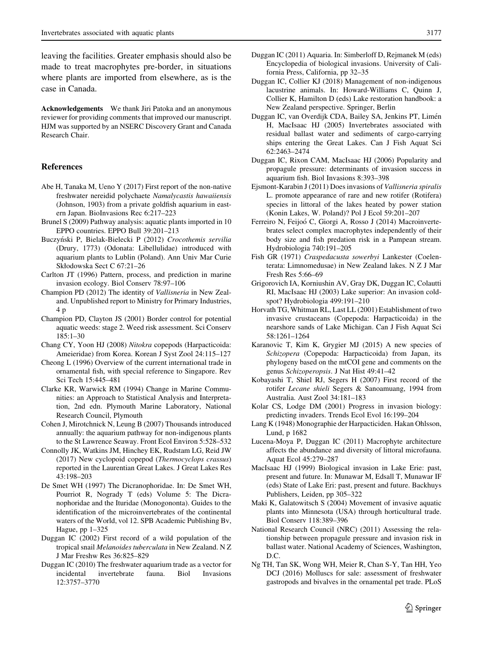<span id="page-10-0"></span>leaving the facilities. Greater emphasis should also be made to treat macrophytes pre-border, in situations where plants are imported from elsewhere, as is the case in Canada.

Acknowledgements We thank Jiri Patoka and an anonymous reviewer for providing comments that improved our manuscript. HJM was supported by an NSERC Discovery Grant and Canada Research Chair.

### References

- Abe H, Tanaka M, Ueno Y (2017) First report of the non-native freshwater nereidid polychaete Namalycastis hawaiiensis (Johnson, 1903) from a private goldfish aquarium in eastern Japan. BioInvasions Rec 6:217–223
- Brunel S (2009) Pathway analysis: aquatic plants imported in 10 EPPO countries. EPPO Bull 39:201–213
- Buczyn´ski P, Bielak-Bielecki P (2012) Crocothemis servilia (Drury, 1773) (Odonata: Libellulidae) introduced with aquarium plants to Lublin (Poland). Ann Univ Mar Curie Skłodowska Sect C 67:21–26
- Carlton JT (1996) Pattern, process, and prediction in marine invasion ecology. Biol Conserv 78:97–106
- Champion PD (2012) The identity of Vallisneria in New Zealand. Unpublished report to Ministry for Primary Industries, 4 p
- Champion PD, Clayton JS (2001) Border control for potential aquatic weeds: stage 2. Weed risk assessment. Sci Conserv 185:1–30
- Chang CY, Yoon HJ (2008) Nitokra copepods (Harpacticoida: Ameieridae) from Korea. Korean J Syst Zool 24:115–127
- Cheong L (1996) Overview of the current international trade in ornamental fish, with special reference to Singapore. Rev Sci Tech 15:445–481
- Clarke KR, Warwick RM (1994) Change in Marine Communities: an Approach to Statistical Analysis and Interpretation, 2nd edn. Plymouth Marine Laboratory, National Research Council, Plymouth
- Cohen J, Mirotchnick N, Leung B (2007) Thousands introduced annually: the aquarium pathway for non-indigenous plants to the St Lawrence Seaway. Front Ecol Environ 5:528–532
- Connolly JK, Watkins JM, Hinchey EK, Rudstam LG, Reid JW (2017) New cyclopoid copepod (Thermocyclops crassus) reported in the Laurentian Great Lakes. J Great Lakes Res 43:198–203
- De Smet WH (1997) The Dicranophoridae. In: De Smet WH, Pourriot R, Nogrady T (eds) Volume 5: The Dicranophoridae and the Ituridae (Monogononta). Guides to the identification of the microinvertebrates of the continental waters of the World, vol 12. SPB Academic Publishing Bv, Hague, pp 1–325
- Duggan IC (2002) First record of a wild population of the tropical snail Melanoides tuberculata in New Zealand. N Z J Mar Freshw Res 36:825–829
- Duggan IC (2010) The freshwater aquarium trade as a vector for incidental invertebrate fauna. Biol Invasions 12:3757–3770
- Duggan IC (2011) Aquaria. In: Simberloff D, Rejmanek M (eds) Encyclopedia of biological invasions. University of California Press, California, pp 32–35
- Duggan IC, Collier KJ (2018) Management of non-indigenous lacustrine animals. In: Howard-Williams C, Quinn J, Collier K, Hamilton D (eds) Lake restoration handbook: a New Zealand perspective. Springer, Berlin
- Duggan IC, van Overdijk CDA, Bailey SA, Jenkins PT, Limén H, MacIsaac HJ (2005) Invertebrates associated with residual ballast water and sediments of cargo-carrying ships entering the Great Lakes. Can J Fish Aquat Sci 62:2463–2474
- Duggan IC, Rixon CAM, MacIsaac HJ (2006) Popularity and propagule pressure: determinants of invasion success in aquarium fish. Biol Invasions 8:393–398
- Ejsmont-Karabin J (2011) Does invasions of Vallisneria spiralis L. promote appearance of rare and new rotifer (Rotifera) species in littoral of the lakes heated by power station (Konin Lakes, W. Poland)? Pol J Ecol 59:201–207
- Ferreiro N, Feijoó C, Giorgi A, Rosso J (2014) Macroinvertebrates select complex macrophytes independently of their body size and fish predation risk in a Pampean stream. Hydrobiologia 740:191–205
- Fish GR (1971) Craspedacusta sowerbyi Lankester (Coelenterata: Limnomedusae) in New Zealand lakes. N Z J Mar Fresh Res 5:66–69
- Grigorovich IA, Korniushin AV, Gray DK, Duggan IC, Colautti RI, MacIsaac HJ (2003) Lake superior: An invasion coldspot? Hydrobiologia 499:191–210
- Horvath TG, Whitman RL, Last LL (2001) Establishment of two invasive crustaceans (Copepoda: Harpacticoida) in the nearshore sands of Lake Michigan. Can J Fish Aquat Sci 58:1261–1264
- Karanovic T, Kim K, Grygier MJ (2015) A new species of Schizopera (Copepoda: Harpacticoida) from Japan, its phylogeny based on the mtCOI gene and comments on the genus Schizoperopsis. J Nat Hist 49:41–42
- Kobayashi T, Shiel RJ, Segers H (2007) First record of the rotifer Lecane shieli Segers & Sanoamuang, 1994 from Australia. Aust Zool 34:181–183
- Kolar CS, Lodge DM (2001) Progress in invasion biology: predicting invaders. Trends Ecol Evol 16:199–204
- Lang K (1948) Monographie der Harpacticiden. Hakan Ohlsson, Lund, p 1682
- Lucena-Moya P, Duggan IC (2011) Macrophyte architecture affects the abundance and diversity of littoral microfauna. Aquat Ecol 45:279–287
- MacIsaac HJ (1999) Biological invasion in Lake Erie: past, present and future. In: Munawar M, Edsall T, Munawar IF (eds) State of Lake Eri: past, present and future. Backhuys Publishers, Leiden, pp 305–322
- Maki K, Galatowitsch S (2004) Movement of invasive aquatic plants into Minnesota (USA) through horticultural trade. Biol Conserv 118:389–396
- National Research Council (NRC) (2011) Assessing the relationship between propagule pressure and invasion risk in ballast water. National Academy of Sciences, Washington, D.C.
- Ng TH, Tan SK, Wong WH, Meier R, Chan S-Y, Tan HH, Yeo DCJ (2016) Molluscs for sale: assessment of freshwater gastropods and bivalves in the ornamental pet trade. PLoS